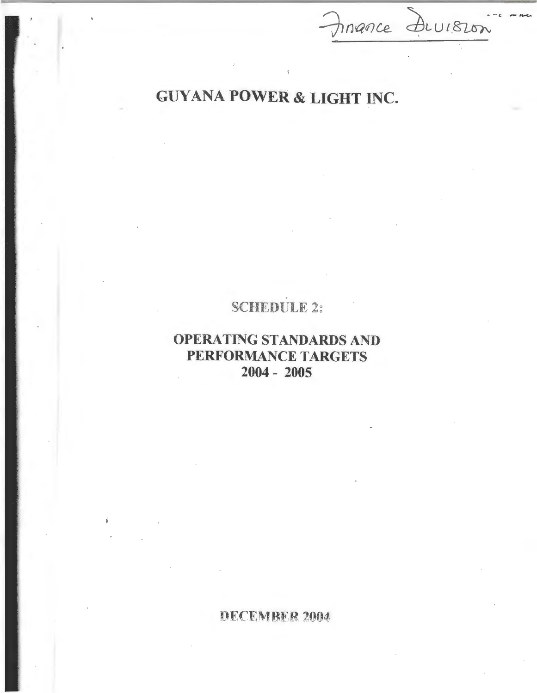# GUYANA POWER & LIGHT INC.

Finance Division

## SCHEDULE 2:

## OPERATING STANDARDS AND PERFORMANCE TARGETS 2004 - 2005

DECEMBER 2004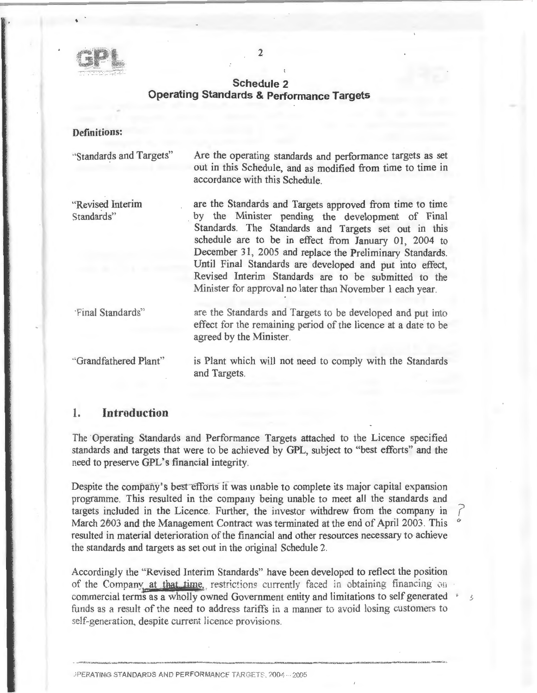

### **Schedule 2 Operating Standards & Performance Targets**

 $\gamma$ 

### **Definitions:**

·'Standards and Targets"

Are the operating standards and performance targets as set out in this Schedule, and as modified from time to time in accordance with this Schedule.

"Revised Interim Standards"

are the Standards and Targets approved from time to time by the Minister pending the development of Final Standards. The Standards and Targets set out in this schedule are to be in effect from January 01, 2004 to December 31, 2005 and replace the Preliminary Standards. Until Final Standards are developed and put into effect, Revised Interim Standards are to be submitted to the Minister for approval no later than November 1 each year.

·Final Standards'·'

·'Grandfathered Plant"

are the Standards and Targets to be developed and put into effect for the remaining period of the licence at a date to be agreed by the Minister.

is Plant which will not need to comply with the Standards and Targets.

 $\mathcal{L}$ 

### 1. **Introduction**

The Operating Standards and Performance Targets attached to the Licence specified standards and targets that were to be achieved by GPL, subject to "best efforts" and the need to preserve GPL's financial integrity.

Despite the company's best efforts it was unable to complete its major capital expansion programme. This resulted in the company being unable to meet all the standards and targets included in the Licence. Further, the investor withdrew from the company in *(*  March 2003 and the Management Contract was terminated at the end of April 2003. This resulted in material deterioration of the financial and other resources necessary to achieve the standards and targets as set out in the original Schedule 2.

Accordingly the "Revised Interim Standards" have been developed to reflect the position of the Company at that time, restrictions currently faced in obtaining financing on commercial terms as a wholly owned Government entity and limitations to self generated • funds as a result of the need to address tariffs in a manner to avoid losing customers to self-generation, despite current licence provisions.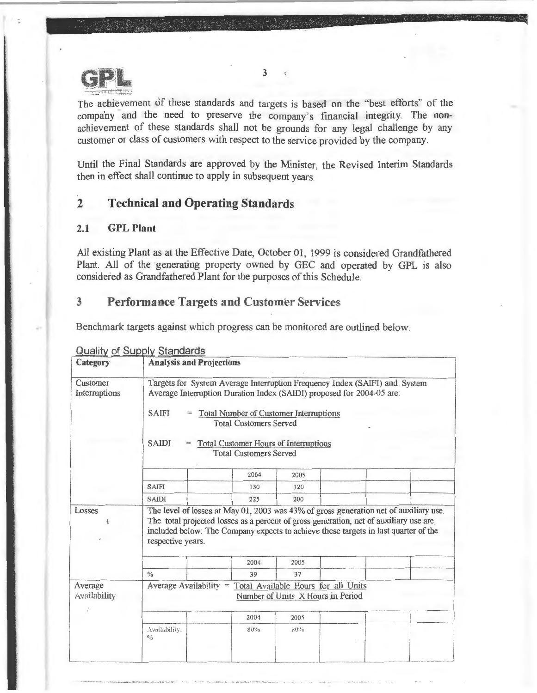

The achievement of these standards and targets is based on the "best efforts" of the company and the need to preserve the company's financial integrity. The nonachievement of these standards shall not be grounds for any legal challenge by any customer or class of customers with respect to the service provided by the company.

Until the Final Standards are approved by the Minister, the Revised Interim Standards then in effect shall continue to apply in subsequent years.

### **2 Technical and Operating Standards**

### 2.1 **GPL Plant**

All existing Plant as at the Effective Date, October 01, 1999 is considered Grandfathered Plant. All of the generating property owned by GEC and operated by GPL is also considered as Grandfathered Plant for the purposes of this Schedule.

### 3 **Performance** Targets and Customer Services

Benchmark targets against which progress can be monitored are outlined below.

| Category                  | <b>Analysis and Projections</b>                                                                                                                                                                                                                                                                                                                 |      |                                                                          |                                                                                       |  |  |  |  |
|---------------------------|-------------------------------------------------------------------------------------------------------------------------------------------------------------------------------------------------------------------------------------------------------------------------------------------------------------------------------------------------|------|--------------------------------------------------------------------------|---------------------------------------------------------------------------------------|--|--|--|--|
| Customer<br>Interruptions | Targets for System Average Interruption Frequency Index (SAIFI) and System<br>Average Interruption Duration Index (SAIDI) proposed for 2004-05 are:<br><b>SAIFI</b><br><b>Total Number of Customer Interruptions</b><br><b>Total Customers Served</b><br>SAIDI<br><b>Total Customer Hours of Interruptions</b><br><b>Total Customers Served</b> |      |                                                                          |                                                                                       |  |  |  |  |
|                           |                                                                                                                                                                                                                                                                                                                                                 | 2004 | 2005                                                                     |                                                                                       |  |  |  |  |
|                           | <b>SAIFI</b>                                                                                                                                                                                                                                                                                                                                    | 130  | 120                                                                      |                                                                                       |  |  |  |  |
|                           | <b>SAIDI</b>                                                                                                                                                                                                                                                                                                                                    | 225  | 200                                                                      |                                                                                       |  |  |  |  |
| Losses                    |                                                                                                                                                                                                                                                                                                                                                 |      |                                                                          | The total projected losses as a percent of gross generation, net of auxiliary use are |  |  |  |  |
|                           | included below: The Company expects to achieve these targets in last quarter of the<br>respective years.                                                                                                                                                                                                                                        | 2004 | 2005                                                                     |                                                                                       |  |  |  |  |
|                           | $\frac{0}{2}$                                                                                                                                                                                                                                                                                                                                   | 39   | 37                                                                       |                                                                                       |  |  |  |  |
| Average<br>Availability   | Average Availability $=$                                                                                                                                                                                                                                                                                                                        |      | Total Available Hours for all Units<br>Number of Units X Hours in Period |                                                                                       |  |  |  |  |
|                           |                                                                                                                                                                                                                                                                                                                                                 | 2004 | 2005                                                                     |                                                                                       |  |  |  |  |

Qualitv of Suoolv Standards

3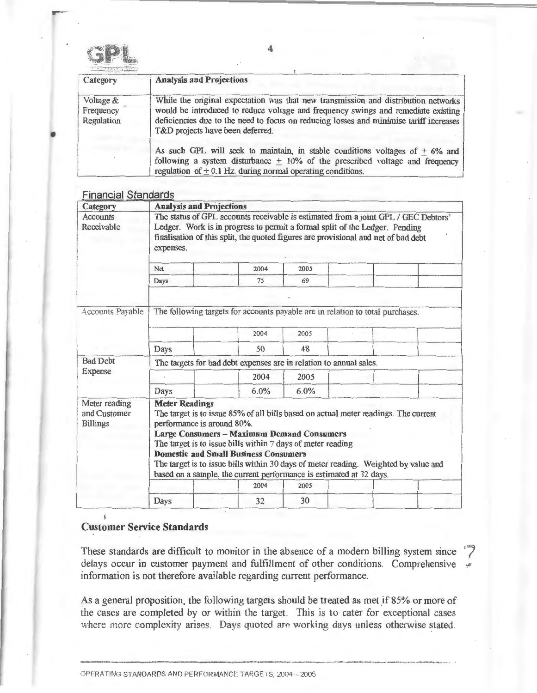

-

| Category                             | <b>Analysis and Projections</b>                                                                                                                                                                                                                                                                       |
|--------------------------------------|-------------------------------------------------------------------------------------------------------------------------------------------------------------------------------------------------------------------------------------------------------------------------------------------------------|
| Voltage &<br>Frequency<br>Regulation | While the original expectation was that new transmission and distribution networks<br>would be introduced to reduce voltage and frequency swings and remediate existing<br>deficiencies due to the need to focus on reducing losses and minimise tariff increases<br>T&D projects have been deferred. |
|                                      | As such GPL will seek to maintain, in stable conditions voltages of $+6\%$ and<br>following a system disturbance $\pm$ 10% of the prescribed voltage and frequency<br>regulation of $\pm$ 0.1 Hz. during normal operating conditions.                                                                 |

### Financial Standards

| Category                                         | <b>Analysis and Projections</b>                                                                                                                                                                                                                                                                                                                                                                                                                                              |                                                                                        |      |  |  |  |  |  |  |
|--------------------------------------------------|------------------------------------------------------------------------------------------------------------------------------------------------------------------------------------------------------------------------------------------------------------------------------------------------------------------------------------------------------------------------------------------------------------------------------------------------------------------------------|----------------------------------------------------------------------------------------|------|--|--|--|--|--|--|
| <b>Accounts</b><br>Receivable                    | The status of GPL accounts receivable is estimated from a joint GPL / GEC Debtors'<br>Ledger. Work is in progress to permit a formal split of the Ledger. Pending<br>finalisation of this split, the quoted figures are provisional and net of bad debt<br>expenses.                                                                                                                                                                                                         |                                                                                        |      |  |  |  |  |  |  |
|                                                  | Net                                                                                                                                                                                                                                                                                                                                                                                                                                                                          | 2004                                                                                   | 2005 |  |  |  |  |  |  |
|                                                  | Days                                                                                                                                                                                                                                                                                                                                                                                                                                                                         | 75                                                                                     | 69   |  |  |  |  |  |  |
| Accounts Payable                                 |                                                                                                                                                                                                                                                                                                                                                                                                                                                                              | The following targets for accounts payable are in relation to total purchases.<br>2004 | 2005 |  |  |  |  |  |  |
| <b>Bad Debt</b>                                  | 48<br>Days<br>50                                                                                                                                                                                                                                                                                                                                                                                                                                                             |                                                                                        |      |  |  |  |  |  |  |
| Expense                                          | The targets for bad debt expenses are in relation to annual sales.                                                                                                                                                                                                                                                                                                                                                                                                           |                                                                                        |      |  |  |  |  |  |  |
|                                                  |                                                                                                                                                                                                                                                                                                                                                                                                                                                                              | 2004                                                                                   | 2005 |  |  |  |  |  |  |
|                                                  | Days                                                                                                                                                                                                                                                                                                                                                                                                                                                                         | 6.0%                                                                                   | 6.0% |  |  |  |  |  |  |
| Meter reading<br>and Customer<br><b>Billings</b> | <b>Meter Readings</b><br>The target is to issue 85% of all bills based on actual meter readings. The current<br>performance is around 80%.<br><b>Large Consumers - Maximum Demand Consumers</b><br>The target is to issue bills within 7 days of meter reading<br><b>Domestic and Small Business Consumers</b><br>The target is to issue bills within 30 days of meter reading. Weighted by value and<br>based on a sample, the current performance is estimated at 32 days. |                                                                                        |      |  |  |  |  |  |  |
|                                                  |                                                                                                                                                                                                                                                                                                                                                                                                                                                                              | 2004                                                                                   | 2005 |  |  |  |  |  |  |
|                                                  | Days                                                                                                                                                                                                                                                                                                                                                                                                                                                                         | 32                                                                                     | 30   |  |  |  |  |  |  |

#### ~ Customer Service Standards

 $\mathbf{A}$ 

These standards are difficult to monitor in the absence of a modern billing system since delays occur in customer payment and fulfillment of other conditions. Comprehensive information is not therefore available regarding current performance.

As a general proposition, the following targets should be treated as met if 85% or more of the cases are completed by or within the target. This is to cater for exceptional cases where more complexity arises. Days quoted are working days unless otherwise stated.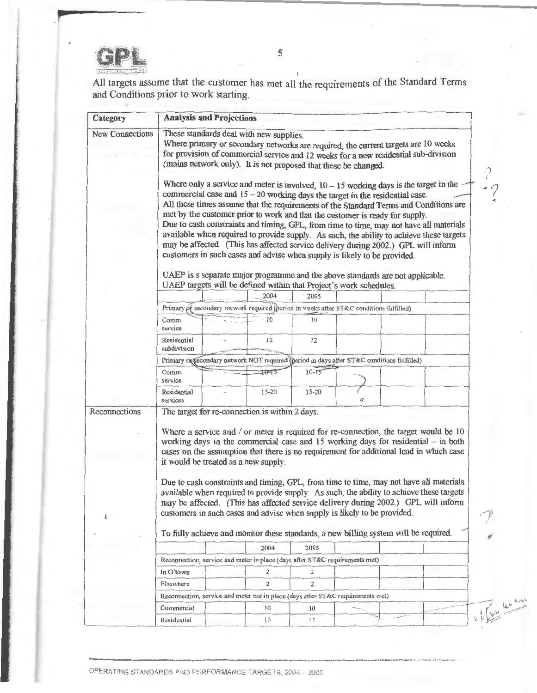

All targets assume that the customer has met all the requirements of the Standard Terms and Conditions prior to work starting.

| Category               | <b>Analysis and Projections</b>                                                            |                                      |                                                |                                                                                                                                                                                                                                                                                                                                                                                                                                                                                                                                                                                  |  |  |                                                                                                                                                                                                                                                                                                                                                                                                                                                                                                                                                     |  |
|------------------------|--------------------------------------------------------------------------------------------|--------------------------------------|------------------------------------------------|----------------------------------------------------------------------------------------------------------------------------------------------------------------------------------------------------------------------------------------------------------------------------------------------------------------------------------------------------------------------------------------------------------------------------------------------------------------------------------------------------------------------------------------------------------------------------------|--|--|-----------------------------------------------------------------------------------------------------------------------------------------------------------------------------------------------------------------------------------------------------------------------------------------------------------------------------------------------------------------------------------------------------------------------------------------------------------------------------------------------------------------------------------------------------|--|
| <b>New Connections</b> |                                                                                            |                                      | These standards deal with new supplies.        | Where primary or secondary networks are required, the current targets are 10 weeks<br>for provision of commercial service and 12 weeks for a new residential sub-division<br>(mains network only). It is not proposed that these be changed.<br>commercial case and $15 - 20$ working days the target in the residential case.<br>met by the customer prior to work and that the customer is ready for supply.<br>may be affected. (This has affected service delivery during 2002.) GPL will inform<br>customers in such cases and advise when supply is likely to be provided. |  |  | Where only a service and meter is involved, $10 - 15$ working days is the target in the<br>All these times assume that the requirements of the Standard Terms and Conditions are<br>Due to cash constraints and timing, GPL, from time to time, may not have all materials<br>available when required to provide supply. As such, the ability to achieve these targets                                                                                                                                                                              |  |
|                        |                                                                                            |                                      |                                                | UAEP is s separate major programme and the above standards are not applicable.<br>UAEP targets will be defined within that Project's work schedules.                                                                                                                                                                                                                                                                                                                                                                                                                             |  |  |                                                                                                                                                                                                                                                                                                                                                                                                                                                                                                                                                     |  |
|                        |                                                                                            |                                      | 2004                                           | 2005                                                                                                                                                                                                                                                                                                                                                                                                                                                                                                                                                                             |  |  |                                                                                                                                                                                                                                                                                                                                                                                                                                                                                                                                                     |  |
|                        |                                                                                            |                                      |                                                | Primary of secondary network required (period in weeks after ST&C conditions fulfilled)                                                                                                                                                                                                                                                                                                                                                                                                                                                                                          |  |  |                                                                                                                                                                                                                                                                                                                                                                                                                                                                                                                                                     |  |
|                        | Comm.<br>service                                                                           |                                      | 10                                             | 10                                                                                                                                                                                                                                                                                                                                                                                                                                                                                                                                                                               |  |  |                                                                                                                                                                                                                                                                                                                                                                                                                                                                                                                                                     |  |
|                        | <b>Residential</b><br>subdivision                                                          |                                      | 12                                             | 12                                                                                                                                                                                                                                                                                                                                                                                                                                                                                                                                                                               |  |  |                                                                                                                                                                                                                                                                                                                                                                                                                                                                                                                                                     |  |
|                        | Primary or secondary network NOT required (period in days after ST&C conditions fulfilled) |                                      |                                                |                                                                                                                                                                                                                                                                                                                                                                                                                                                                                                                                                                                  |  |  |                                                                                                                                                                                                                                                                                                                                                                                                                                                                                                                                                     |  |
|                        | Comm.<br>service                                                                           |                                      | $10 - 15$                                      | $10 - 15$                                                                                                                                                                                                                                                                                                                                                                                                                                                                                                                                                                        |  |  |                                                                                                                                                                                                                                                                                                                                                                                                                                                                                                                                                     |  |
|                        | Residential<br>services                                                                    |                                      | $15 - 20$                                      | $15 - 20$                                                                                                                                                                                                                                                                                                                                                                                                                                                                                                                                                                        |  |  |                                                                                                                                                                                                                                                                                                                                                                                                                                                                                                                                                     |  |
| Reconnections          |                                                                                            | it would be treated as a new supply. | The target for re-connection is within 2 days. | customers in such cases and advise when supply is likely to be provided.<br>To fully achieve and monitor these standards, a new billing system will be required.                                                                                                                                                                                                                                                                                                                                                                                                                 |  |  | Where a service and / or meter is required for re-connection, the target would be 10<br>working days in the commercial case and $15$ working days for residential $-$ in both<br>cases on the assumption that there is no requirement for additional load in which case<br>Due to cash constraints and timing, GPL, from time to time, may not have all materials<br>available when required to provide supply. As such, the ability to achieve these targets<br>may be affected. (This has affected service delivery during 2002.) GPL will inform |  |
|                        |                                                                                            |                                      | 2004                                           | 2005                                                                                                                                                                                                                                                                                                                                                                                                                                                                                                                                                                             |  |  |                                                                                                                                                                                                                                                                                                                                                                                                                                                                                                                                                     |  |
|                        |                                                                                            |                                      |                                                | Reconnection, service and meter in place (days after ST&C requirements met)                                                                                                                                                                                                                                                                                                                                                                                                                                                                                                      |  |  |                                                                                                                                                                                                                                                                                                                                                                                                                                                                                                                                                     |  |
|                        | In G'town                                                                                  |                                      | 2                                              | $\overline{z}$                                                                                                                                                                                                                                                                                                                                                                                                                                                                                                                                                                   |  |  |                                                                                                                                                                                                                                                                                                                                                                                                                                                                                                                                                     |  |
|                        | Elsewhere                                                                                  |                                      | 2                                              | 2                                                                                                                                                                                                                                                                                                                                                                                                                                                                                                                                                                                |  |  |                                                                                                                                                                                                                                                                                                                                                                                                                                                                                                                                                     |  |
|                        |                                                                                            |                                      |                                                | Reconnection, service and meter not in place (days after ST&C requirements met)                                                                                                                                                                                                                                                                                                                                                                                                                                                                                                  |  |  |                                                                                                                                                                                                                                                                                                                                                                                                                                                                                                                                                     |  |
|                        | Commercial                                                                                 |                                      | 10                                             | 10                                                                                                                                                                                                                                                                                                                                                                                                                                                                                                                                                                               |  |  |                                                                                                                                                                                                                                                                                                                                                                                                                                                                                                                                                     |  |
|                        |                                                                                            |                                      |                                                |                                                                                                                                                                                                                                                                                                                                                                                                                                                                                                                                                                                  |  |  |                                                                                                                                                                                                                                                                                                                                                                                                                                                                                                                                                     |  |
|                        | Residential                                                                                |                                      | 15 <sub>1</sub>                                | $15^{\circ}$                                                                                                                                                                                                                                                                                                                                                                                                                                                                                                                                                                     |  |  |                                                                                                                                                                                                                                                                                                                                                                                                                                                                                                                                                     |  |

OPERATING STANDARDS AND PERFORMANCE TARGETS, 2004 - 2005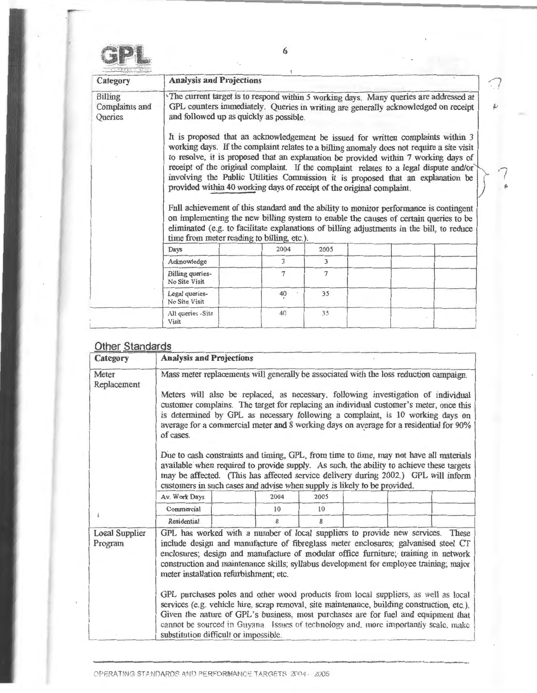-

| Category                                    | <b>Analysis and Projections</b>                                                                                                                                                                                        |      |                |                                                                                                                                                                                                                                                                                                                                                                                                                                                                                                                                                                                                                                                                                                                                 |  |  |  |  |  |
|---------------------------------------------|------------------------------------------------------------------------------------------------------------------------------------------------------------------------------------------------------------------------|------|----------------|---------------------------------------------------------------------------------------------------------------------------------------------------------------------------------------------------------------------------------------------------------------------------------------------------------------------------------------------------------------------------------------------------------------------------------------------------------------------------------------------------------------------------------------------------------------------------------------------------------------------------------------------------------------------------------------------------------------------------------|--|--|--|--|--|
| <b>Billing</b><br>Complaints and<br>Queries | The current target is to respond within 5 working days. Many queries are addressed at<br>GPL counters immediately. Queries in writing are generally acknowledged on receipt<br>and followed up as quickly as possible. |      |                |                                                                                                                                                                                                                                                                                                                                                                                                                                                                                                                                                                                                                                                                                                                                 |  |  |  |  |  |
|                                             | provided within 40 working days of receipt of the original complaint.<br>time from meter reading to billing, etc.).                                                                                                    |      |                | It is proposed that an acknowledgement be issued for written complaints within 3<br>working days. If the complaint relates to a billing anomaly does not require a site visit<br>to resolve, it is proposed that an explanation be provided within 7 working days of<br>receipt of the original complaint. If the complaint relates to a legal dispute and/or<br>involving the Public Utilities Commission it is proposed that an explanation be<br>Full achievement of this standard and the ability to monitor performance is contingent<br>on implementing the new billing system to enable the causes of certain queries to be<br>eliminated (e.g. to facilitate explanations of billing adjustments in the bill, to reduce |  |  |  |  |  |
|                                             | Days                                                                                                                                                                                                                   | 2004 | 2005           |                                                                                                                                                                                                                                                                                                                                                                                                                                                                                                                                                                                                                                                                                                                                 |  |  |  |  |  |
|                                             | Acknowledge                                                                                                                                                                                                            | 3    | $\mathfrak{Z}$ |                                                                                                                                                                                                                                                                                                                                                                                                                                                                                                                                                                                                                                                                                                                                 |  |  |  |  |  |
|                                             | <b>Billing</b> queries-<br>No Site Visit                                                                                                                                                                               | 7    | $\tau$         |                                                                                                                                                                                                                                                                                                                                                                                                                                                                                                                                                                                                                                                                                                                                 |  |  |  |  |  |
|                                             | Legal queries-<br>No Site Visit                                                                                                                                                                                        | 40   | 35             |                                                                                                                                                                                                                                                                                                                                                                                                                                                                                                                                                                                                                                                                                                                                 |  |  |  |  |  |
|                                             | All queries -Site<br>Visit                                                                                                                                                                                             | 40   | 35             |                                                                                                                                                                                                                                                                                                                                                                                                                                                                                                                                                                                                                                                                                                                                 |  |  |  |  |  |

### Other Standards

| Category                         | <b>Analysis and Projections</b>                                                                                                                                                                                                                                                                                                                                                                                                                                                                                                                                                                                                                                                                                                                                                                            |  |            |            |  |  |  |  |
|----------------------------------|------------------------------------------------------------------------------------------------------------------------------------------------------------------------------------------------------------------------------------------------------------------------------------------------------------------------------------------------------------------------------------------------------------------------------------------------------------------------------------------------------------------------------------------------------------------------------------------------------------------------------------------------------------------------------------------------------------------------------------------------------------------------------------------------------------|--|------------|------------|--|--|--|--|
| Meter<br>Replacement             | Mass meter replacements will generally be associated with the loss reduction campaign.<br>Meters will also be replaced, as necessary, following investigation of individual<br>customer complains. The target for replacing an individual customer's meter, once this<br>is determined by GPL as necessary following a complaint, is 10 working days on<br>average for a commercial meter and 8 working days on average for a residential for 90%<br>of cases.                                                                                                                                                                                                                                                                                                                                             |  |            |            |  |  |  |  |
|                                  | Due to cash constraints and timing, GPL, from time to time, may not have all materials<br>available when required to provide supply. As such, the ability to achieve these targets<br>may be affected. (This has affected service delivery during 2002.) GPL will inform<br>customers in such cases and advise when supply is likely to be provided.                                                                                                                                                                                                                                                                                                                                                                                                                                                       |  |            |            |  |  |  |  |
|                                  | Av. Work Days<br>Commercial                                                                                                                                                                                                                                                                                                                                                                                                                                                                                                                                                                                                                                                                                                                                                                                |  | 2004<br>10 | 2005<br>10 |  |  |  |  |
|                                  | Residential                                                                                                                                                                                                                                                                                                                                                                                                                                                                                                                                                                                                                                                                                                                                                                                                |  | 8          | 8          |  |  |  |  |
| <b>Local Supplier</b><br>Program | GPL has worked with a number of local suppliers to provide new services. These<br>include design and manufacture of fibreglass meter enclosures; galvanised steel CT<br>enclosures; design and manufacture of modular office furniture; training in network<br>construction and maintenance skills; syllabus development for employee training; major<br>meter installation refurbishment; etc.<br>GPL purchases poles and other wood products from local suppliers, as well as local<br>services (e.g. vehicle hire, scrap removal, site maintenance, building construction, etc.).<br>Given the nature of GPL's business, most purchases are for fuel and equipment that<br>cannot be sourced in Guyana. Issues of technology and, more importantly scale, make<br>substitution difficult or impossible. |  |            |            |  |  |  |  |

6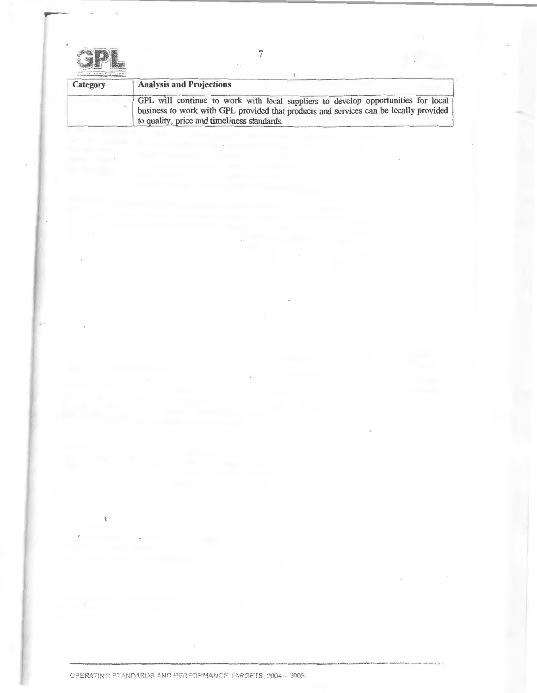| i. |  |  |  |  |
|----|--|--|--|--|

 $\sim 10$ 

 $\oint_{\Gamma}$ 

of the company of the company of the company

lies.

-

| Category | <b>Analysis and Projections</b>                                                                                                                                                                                           |
|----------|---------------------------------------------------------------------------------------------------------------------------------------------------------------------------------------------------------------------------|
|          | GPL will continue to work with local suppliers to develop opportunities for local<br>business to work with GPL provided that products and services can be locally provided<br>to quality, price and timeliness standards. |

 $\sim$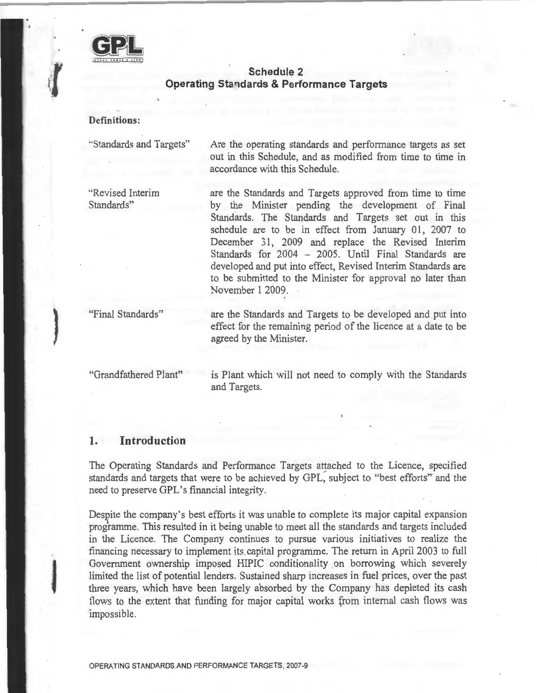

### **Schedule 2 Operating Standards & Performance Targets**

**Definitions:** 

'·Standards and Targets"

"Revised Interim Standards"

Are the operating standards and performance targets as set out in this Schedule, and as modified from time to time in accordance with this Schedule.

are the Standards and Targets approved from time to time by the Minister pending the development of Final Standards. The Standards and Targets set out in this schedule are to be in effect from January 01, 2007 to December 31, 2009 and replace the Revised Interim Standards for 2004 - 2005. Until Final Standards are developed and put into effect, Revised Interim Standards are to be submitted to the Minister for approval no later than November 1 2009.

"Final Standards"

}

are the Standards and Targets to be developed and put into effect for the remaining period of the licence at a date to be agreed by the Minister.

"Grandfathered Plant"

is Plant which will not need to comply with the Standards and Targets.

### **1. Introduction**

The Operating Standards and Performance Targets attached to the Licence, specified standards and targets that were to be achieved by GPL, subject to "best efforts" and the need to preserve GPL's financial integrity.

Despite the company's best efforts it was unable to complete its major capital expansion programme. This resulted in it being unable to meet all the standards and targets included in the Licence. The Company continues to pursue various initiatives to realize the financing necessary to implement its capital programme. The return in April 2003 to full Government ownership imposed HIPIC conditionality on borrowing which severely limited the list of potential lenders. Sustained sharp increases in fuel prices, over the past three years, which have been largely absorbed by the Company has depleted its cash flows to the extent that funding for major capital works from internal cash flows was 'impossible.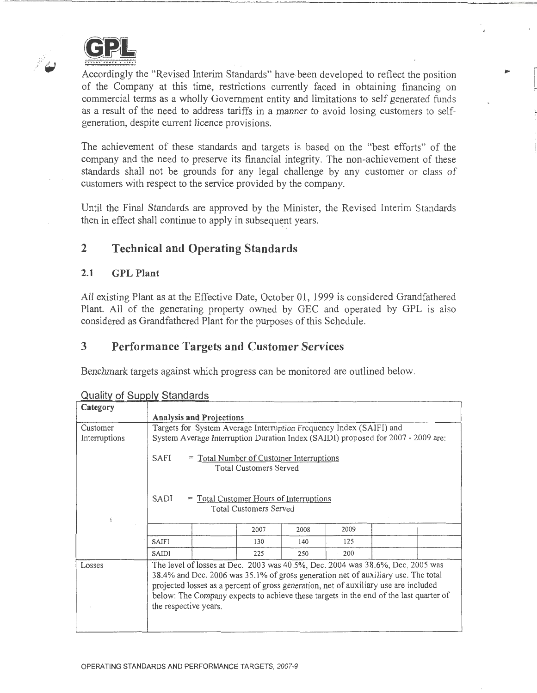

 $\mathbb{R}^{\mathbb{Z}^{\times 2}}$ 

Accordingly the "Revised Interim Standards" have been developed to reflect the position of the Company at this time, restrictions currently faced in obtaining financing on commercial terms as a wholly Government entity and limitations to self generated funds as a result of the need to address tariffs in a manner to avoid losing customers to selfgeneration, despite current licence provisions.

**Property** 

The achievement of these standards and targets is based on the "best efforts" of the company and the need to preserve its financial integrity. The non-achievement of these standards shall not be grounds for any legal challenge by any customer or class of customers with respect to the service provided by the company.

Until the Final Standards are approved by the Minister, the Revised Interim Standards then in effect shall continue to apply in subsequent years.

### 2 Technical and Operating Standards

### 2.1 GPL Plant

All existing Plant as at the Effective Date, October 01, 1999 is considered Grandfathered Plant. All of the generating property owned by GEC and operated by GPL is also considered as Grandfathered Plant for the purposes of this Schedule.

### 3 Performance Targets and Customer Services

Benchmark targets against which progress can be monitored are outlined below.

|               | <u>waality of oapply otaliaalas</u>                                                                                                                                                                                                                                                                                                                                           |                                                                           |      |      |  |  |  |  |
|---------------|-------------------------------------------------------------------------------------------------------------------------------------------------------------------------------------------------------------------------------------------------------------------------------------------------------------------------------------------------------------------------------|---------------------------------------------------------------------------|------|------|--|--|--|--|
| Category      |                                                                                                                                                                                                                                                                                                                                                                               |                                                                           |      |      |  |  |  |  |
|               | <b>Analysis and Projections</b>                                                                                                                                                                                                                                                                                                                                               |                                                                           |      |      |  |  |  |  |
| Customer      | Targets for System Average Interruption Frequency Index (SAIFI) and                                                                                                                                                                                                                                                                                                           |                                                                           |      |      |  |  |  |  |
| Interruptions | System Average Interruption Duration Index (SAIDI) proposed for 2007 - 2009 are:                                                                                                                                                                                                                                                                                              |                                                                           |      |      |  |  |  |  |
|               | SAFI                                                                                                                                                                                                                                                                                                                                                                          | = Total Number of Customer Interruptions<br><b>Total Customers Served</b> |      |      |  |  |  |  |
| Ą             | = Total Customer Hours of Interruptions<br>SADI<br><b>Total Customers Served</b>                                                                                                                                                                                                                                                                                              |                                                                           |      |      |  |  |  |  |
|               |                                                                                                                                                                                                                                                                                                                                                                               | 2007                                                                      | 2008 | 2009 |  |  |  |  |
|               | SAIFI                                                                                                                                                                                                                                                                                                                                                                         | 130                                                                       | 140  | 125  |  |  |  |  |
|               | SAIDI                                                                                                                                                                                                                                                                                                                                                                         | 225                                                                       | 250  | 200  |  |  |  |  |
| Losses        | The level of losses at Dec. 2003 was 40.5%, Dec. 2004 was 38.6%, Dec. 2005 was<br>38.4% and Dec. 2006 was 35.1% of gross generation net of auxiliary use. The total<br>projected losses as a percent of gross generation, net of auxiliary use are included<br>below: The Company expects to achieve these targets in the end of the last quarter of<br>the respective years. |                                                                           |      |      |  |  |  |  |

Quality of Sunnly Standarde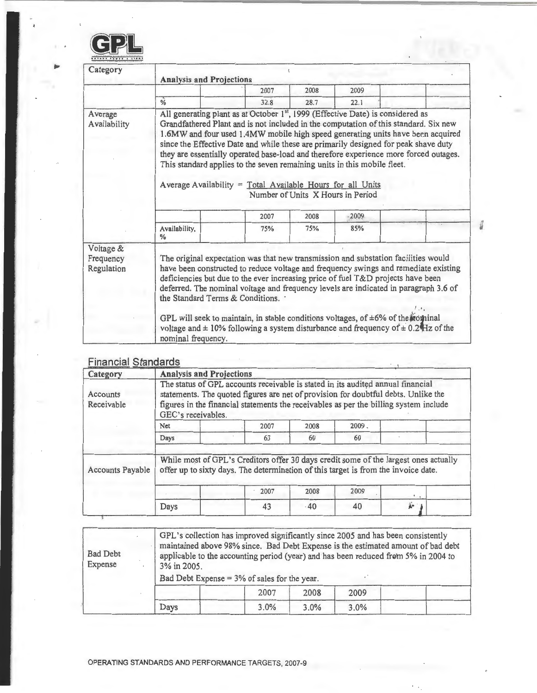

| Category                             | <b>Analysis and Projections</b>                                                                                                                                                                                                                                                                                                                                                                                                                                                                                                                                                                                          |      |      |      |  |  |  |  |  |
|--------------------------------------|--------------------------------------------------------------------------------------------------------------------------------------------------------------------------------------------------------------------------------------------------------------------------------------------------------------------------------------------------------------------------------------------------------------------------------------------------------------------------------------------------------------------------------------------------------------------------------------------------------------------------|------|------|------|--|--|--|--|--|
|                                      |                                                                                                                                                                                                                                                                                                                                                                                                                                                                                                                                                                                                                          | 2007 | 2008 | 2009 |  |  |  |  |  |
|                                      | $\frac{6}{6}$                                                                                                                                                                                                                                                                                                                                                                                                                                                                                                                                                                                                            | 32.8 | 28.7 | 22.1 |  |  |  |  |  |
| Average<br>Availability              | All generating plant as at October 1st, 1999 (Effective Date) is considered as<br>Grandfathered Plant and is not included in the computation of this standard. Six new<br>1.6MW and four used 1.4MW mobile high speed generating units have been acquired<br>since the Effective Date and while these are primarily designed for peak shave duty<br>they are essentially operated base-load and therefore experience more forced outages.<br>This standard applies to the seven remaining units in this mobile fleet.<br>Average Availability = Total Available Hours for all Units<br>Number of Units X Hours in Period |      |      |      |  |  |  |  |  |
|                                      |                                                                                                                                                                                                                                                                                                                                                                                                                                                                                                                                                                                                                          | 2007 | 2008 | 2009 |  |  |  |  |  |
|                                      | Availability,<br>$\%$                                                                                                                                                                                                                                                                                                                                                                                                                                                                                                                                                                                                    | 75%  | 75%  | 85%  |  |  |  |  |  |
| Voltage &<br>Frequency<br>Regulation | The original expectation was that new transmission and substation facilities would<br>have been constructed to reduce voltage and frequency swings and remediate existing<br>deficiencies but due to the ever increasing price of fuel T&D projects have been<br>deferred. The nominal voltage and frequency levels are indicated in paragraph 3.6 of<br>the Standard Terms & Conditions. .<br>GPL will seek to maintain, in stable conditions voltages, of $\pm 6\%$ of the rotatinal<br>voltage and $\pm$ 10% following a system disturbance and frequency of $\pm$ 0.24 Hz of the<br>nominal frequency.               |      |      |      |  |  |  |  |  |

i.

### Financial Standards

| Category                |                                                                                                                                                                                                                                                                                      | <b>Analysis and Projections</b>                                                                                                                                            |      |          |      |  |  |  |  |
|-------------------------|--------------------------------------------------------------------------------------------------------------------------------------------------------------------------------------------------------------------------------------------------------------------------------------|----------------------------------------------------------------------------------------------------------------------------------------------------------------------------|------|----------|------|--|--|--|--|
| Accounts<br>Receivable  | The status of GPL accounts receivable is stated in its audited annual financial<br>statements. The quoted figures are net of provision for doubtful debts. Unlike the<br>figures in the financial statements the receivables as per the billing system include<br>GEC's receivables. |                                                                                                                                                                            |      |          |      |  |  |  |  |
|                         | Net                                                                                                                                                                                                                                                                                  | 2007                                                                                                                                                                       | 2008 | $2009 -$ |      |  |  |  |  |
|                         | Days                                                                                                                                                                                                                                                                                 | 63                                                                                                                                                                         | 60   | 60       |      |  |  |  |  |
| <b>Accounts Payable</b> |                                                                                                                                                                                                                                                                                      | While most of GPL's Creditors offer 30 days credit some of the largest ones actually<br>offer up to sixty days. The determination of this target is from the invoice date. |      |          |      |  |  |  |  |
|                         |                                                                                                                                                                                                                                                                                      | 2007                                                                                                                                                                       | 2008 | 2009     |      |  |  |  |  |
|                         | Days                                                                                                                                                                                                                                                                                 | 43                                                                                                                                                                         | .40  | 40       | de 1 |  |  |  |  |

| <b>Bad Debt</b><br>Expense | 3% in 2005. | GPL's collection has improved significantly since 2005 and has been consistently<br>applicable to the accounting period (year) and has been reduced from 5% in 2004 to<br>Bad Debt Expense = $3\%$ of sales for the year. |      |      | maintained above 98% since. Bad Debt Expense is the estimated amount of bad debt |
|----------------------------|-------------|---------------------------------------------------------------------------------------------------------------------------------------------------------------------------------------------------------------------------|------|------|----------------------------------------------------------------------------------|
|                            |             | 2007                                                                                                                                                                                                                      | 2008 | 2009 |                                                                                  |
|                            | Days        | 3.0%                                                                                                                                                                                                                      | 3.0% | 3.0% |                                                                                  |

 $\bar{ }$  $\epsilon$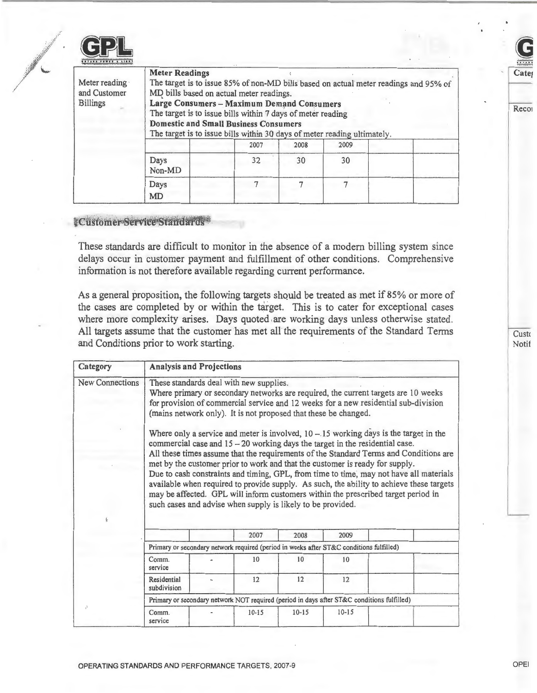|  |  | <b>6 N T</b> |
|--|--|--------------|

| Meter reading<br>and Customer<br><b>Billings</b> | <b>Meter Readings</b><br>The target is to issue 85% of non-MD bills based on actual meter readings and 95% of<br>MD bills based on actual meter readings.<br>Large Consumers - Maximum Demand Consumers<br>The target is to issue bills within 7 days of meter reading<br><b>Domestic and Small Business Consumers</b><br>The target is to issue bills within 30 days of meter reading ultimately. |      |      |      |  |  |
|--------------------------------------------------|----------------------------------------------------------------------------------------------------------------------------------------------------------------------------------------------------------------------------------------------------------------------------------------------------------------------------------------------------------------------------------------------------|------|------|------|--|--|
|                                                  |                                                                                                                                                                                                                                                                                                                                                                                                    | 2007 | 2008 | 2009 |  |  |
|                                                  | Days<br>Non-MD                                                                                                                                                                                                                                                                                                                                                                                     | 32   | 30   | 30   |  |  |
|                                                  | Days<br>MD                                                                                                                                                                                                                                                                                                                                                                                         |      |      |      |  |  |

### · Customer Service Standards

These standards are difficult to monitor in the absence of a modern billing system since delays occur in customer payment and fulfillment of other conditions. Comprehensive information is not therefore available regarding current performance.

As a general proposition, the following targets should be treated as met if 85% or more of the cases are completed by or within the target. This is to cater for exceptional cases where more complexity arises. Days quoted are working days unless otherwise stated. All targets assume that the customer has met all the requirements of the Standard Terms and Conditions prior to work starting.

| Category               | <b>Analysis and Projections</b>                                                                                                                                                                                                                                                         |  |                                                                                            |           |           |                                                                                                                                                                                                                                                                                                                                                                                                                                                                                                                                                                                                                               |  |
|------------------------|-----------------------------------------------------------------------------------------------------------------------------------------------------------------------------------------------------------------------------------------------------------------------------------------|--|--------------------------------------------------------------------------------------------|-----------|-----------|-------------------------------------------------------------------------------------------------------------------------------------------------------------------------------------------------------------------------------------------------------------------------------------------------------------------------------------------------------------------------------------------------------------------------------------------------------------------------------------------------------------------------------------------------------------------------------------------------------------------------------|--|
| <b>New Connections</b> | These standards deal with new supplies.<br>Where primary or secondary networks are required, the current targets are 10 weeks<br>for provision of commercial service and 12 weeks for a new residential sub-division<br>(mains network only). It is not proposed that these be changed. |  |                                                                                            |           |           |                                                                                                                                                                                                                                                                                                                                                                                                                                                                                                                                                                                                                               |  |
|                        |                                                                                                                                                                                                                                                                                         |  | such cases and advise when supply is likely to be provided.<br>2007                        | 2008      | 2009      | Where only a service and meter is involved, $10 - 15$ working days is the target in the<br>commercial case and $15 - 20$ working days the target in the residential case.<br>All these times assume that the requirements of the Standard Terms and Conditions are<br>met by the customer prior to work and that the customer is ready for supply.<br>Due to cash constraints and timing, GPL, from time to time, may not have all materials<br>available when required to provide supply. As such, the ability to achieve these targets<br>may be affected. GPL will inform customers within the prescribed target period in |  |
|                        | Primary or secondary network required (period in weeks after ST&C conditions fulfilled)                                                                                                                                                                                                 |  |                                                                                            |           |           |                                                                                                                                                                                                                                                                                                                                                                                                                                                                                                                                                                                                                               |  |
|                        | Comm.<br>service                                                                                                                                                                                                                                                                        |  | 10                                                                                         | 10        | 10        |                                                                                                                                                                                                                                                                                                                                                                                                                                                                                                                                                                                                                               |  |
|                        | Residential<br>subdivision                                                                                                                                                                                                                                                              |  | 12                                                                                         | 12        | 12        |                                                                                                                                                                                                                                                                                                                                                                                                                                                                                                                                                                                                                               |  |
|                        |                                                                                                                                                                                                                                                                                         |  | Primary or secondary network NOT required (period in days after ST&C conditions fulfilled) |           |           |                                                                                                                                                                                                                                                                                                                                                                                                                                                                                                                                                                                                                               |  |
|                        | Comm.<br>service                                                                                                                                                                                                                                                                        |  | $10 - 15$                                                                                  | $10 - 15$ | $10 - 15$ |                                                                                                                                                                                                                                                                                                                                                                                                                                                                                                                                                                                                                               |  |

Custo **Notif** 

**Reco** 

Cate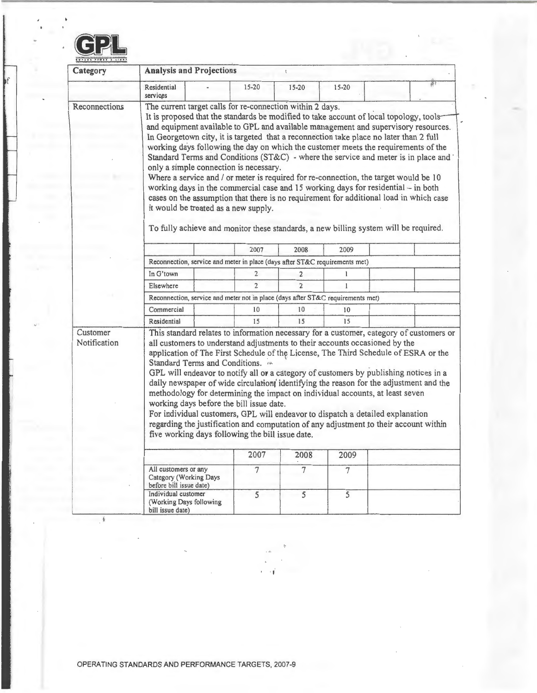

f

 $\mathcal{L}_{\mathcal{A}}$ 

| Category                 | <b>Analysis and Projections</b>                                                                                                                                                                                                                                                                                                                                                                                                                                                                                                                                                                                                                                                                                                                                                                                                                                                                                                                                   |                |                |                |  |  |  |  |
|--------------------------|-------------------------------------------------------------------------------------------------------------------------------------------------------------------------------------------------------------------------------------------------------------------------------------------------------------------------------------------------------------------------------------------------------------------------------------------------------------------------------------------------------------------------------------------------------------------------------------------------------------------------------------------------------------------------------------------------------------------------------------------------------------------------------------------------------------------------------------------------------------------------------------------------------------------------------------------------------------------|----------------|----------------|----------------|--|--|--|--|
|                          | Residential<br>services                                                                                                                                                                                                                                                                                                                                                                                                                                                                                                                                                                                                                                                                                                                                                                                                                                                                                                                                           | $15 - 20$      | $15 - 20$      | $15 - 20$      |  |  |  |  |
| Reconnections            | The current target calls for re-connection within 2 days.<br>It is proposed that the standards be modified to take account of local topology, tools-<br>and equipment available to GPL and available management and supervisory resources.<br>In Georgetown city, it is targeted that a reconnection take place no later than 2 full<br>working days following the day on which the customer meets the requirements of the<br>Standard Terms and Conditions (ST&C) - where the service and meter is in place and<br>only a simple connection is necessary.<br>Where a service and / or meter is required for re-connection, the target would be 10<br>working days in the commercial case and 15 working days for residential - in both<br>cases on the assumption that there is no requirement for additional load in which case<br>it would be treated as a new supply.<br>To fully achieve and monitor these standards, a new billing system will be required. |                |                |                |  |  |  |  |
|                          |                                                                                                                                                                                                                                                                                                                                                                                                                                                                                                                                                                                                                                                                                                                                                                                                                                                                                                                                                                   | 2007           | 2008           | 2009           |  |  |  |  |
|                          | Reconnection, service and meter in place (days after ST&C requirements met)                                                                                                                                                                                                                                                                                                                                                                                                                                                                                                                                                                                                                                                                                                                                                                                                                                                                                       |                |                |                |  |  |  |  |
|                          | In G'town                                                                                                                                                                                                                                                                                                                                                                                                                                                                                                                                                                                                                                                                                                                                                                                                                                                                                                                                                         | $\overline{2}$ | $\overline{2}$ | 1              |  |  |  |  |
|                          | Elsewhere                                                                                                                                                                                                                                                                                                                                                                                                                                                                                                                                                                                                                                                                                                                                                                                                                                                                                                                                                         | $\overline{2}$ | $\overline{2}$ | $\mathbf{1}$   |  |  |  |  |
|                          | Reconnection, service and meter not in place (days after ST&C requirements met)                                                                                                                                                                                                                                                                                                                                                                                                                                                                                                                                                                                                                                                                                                                                                                                                                                                                                   |                |                |                |  |  |  |  |
|                          | Commercial                                                                                                                                                                                                                                                                                                                                                                                                                                                                                                                                                                                                                                                                                                                                                                                                                                                                                                                                                        | 10             | 10             | 10             |  |  |  |  |
|                          | Residential                                                                                                                                                                                                                                                                                                                                                                                                                                                                                                                                                                                                                                                                                                                                                                                                                                                                                                                                                       | 15             | 15             | 15             |  |  |  |  |
| Customer<br>Notification | This standard relates to information necessary for a customer, category of customers or<br>all customers to understand adjustments to their accounts occasioned by the<br>application of The First Schedule of the License, The Third Schedule of ESRA or the<br>Standard Terms and Conditions.<br>GPL will endeavor to notify all or a category of customers by publishing notices in a<br>daily newspaper of wide circulation identifying the reason for the adjustment and the<br>methodology for determining the impact on individual accounts, at least seven<br>working days before the bill issue date.<br>For individual customers, GPL will endeavor to dispatch a detailed explanation<br>regarding the justification and computation of any adjustment to their account within<br>five working days following the bill issue date.                                                                                                                     |                |                |                |  |  |  |  |
|                          |                                                                                                                                                                                                                                                                                                                                                                                                                                                                                                                                                                                                                                                                                                                                                                                                                                                                                                                                                                   | 2007           | 2008           | 2009           |  |  |  |  |
|                          |                                                                                                                                                                                                                                                                                                                                                                                                                                                                                                                                                                                                                                                                                                                                                                                                                                                                                                                                                                   |                |                |                |  |  |  |  |
|                          | All customers or any<br>Category (Working Days<br>before bill issue date)                                                                                                                                                                                                                                                                                                                                                                                                                                                                                                                                                                                                                                                                                                                                                                                                                                                                                         | $\overline{7}$ | $\overline{7}$ | $\overline{7}$ |  |  |  |  |
|                          | Individual customer<br>(Working Days following<br>bill issue date)                                                                                                                                                                                                                                                                                                                                                                                                                                                                                                                                                                                                                                                                                                                                                                                                                                                                                                | 5              | 5              | 5              |  |  |  |  |

.,

 $\mathring{\mathcal{E}}$  $\frac{1}{2}$